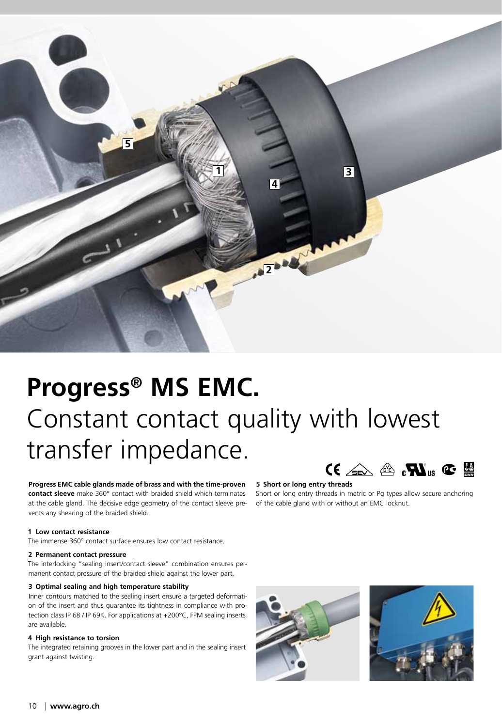

# **Progress® MS EMC.** Constant contact quality with lowest transfer impedance.

**Progress EMC cable glands made of brass and with the time-proven contact sleeve** make 360° contact with braided shield which terminates at the cable gland. The decisive edge geometry of the contact sleeve prevents any shearing of the braided shield.

# **1 Low contact resistance**

The immense 360° contact surface ensures low contact resistance.

### **2 Permanent contact pressure**

The interlocking "sealing insert/contact sleeve" combination ensures permanent contact pressure of the braided shield against the lower part.

#### **3 Optimal sealing and high temperature stability**

Inner contours matched to the sealing insert ensure a targeted deformation of the insert and thus guarantee its tightness in compliance with protection class IP 68 / IP 69K. For applications at +200°C, FPM sealing inserts are available.

## **4 High resistance to torsion**

The integrated retaining grooves in the lower part and in the sealing insert grant against twisting.

# $C \in \mathbb{Z}$  or  $\mathbb{Z}$  .  $\mathbb{Z}$  is  $\mathbb{Z}$  in  $\mathbb{Z}$

#### **5 Short or long entry threads**

Short or long entry threads in metric or Pg types allow secure anchoring of the cable gland with or without an EMC locknut.